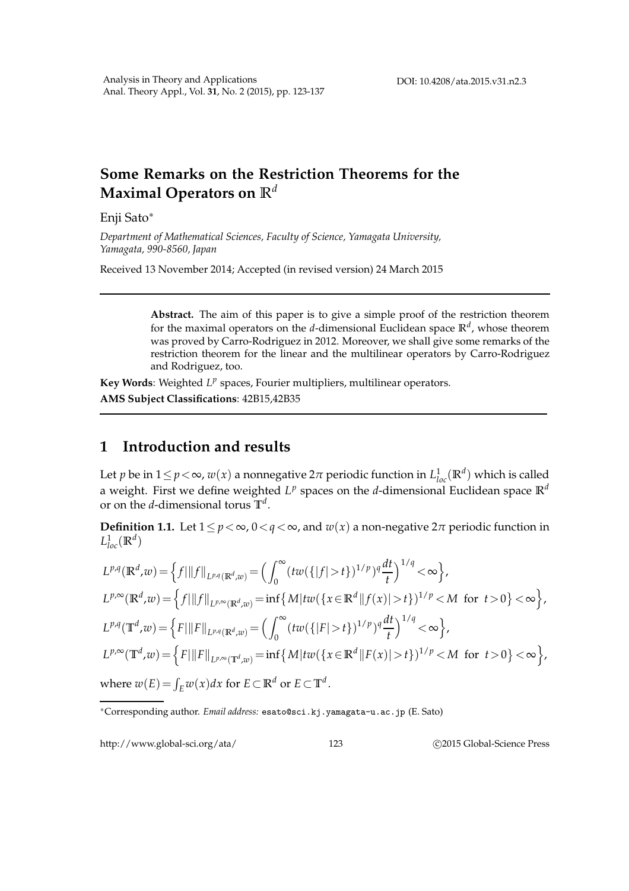## **Some Remarks on the Restriction Theorems for the Maximal Operators on R** *d*

Enji Sato∗

*Department of Mathematical Sciences, Faculty of Science, Yamagata University, Yamagata, 990-8560, Japan*

Received 13 November 2014; Accepted (in revised version) 24 March 2015

**Abstract.** The aim of this paper is to give a simple proof of the restriction theorem for the maximal operators on the *d*-dimensional Euclidean space **R** *d* , whose theorem was proved by Carro-Rodriguez in 2012. Moreover, we shall give some remarks of the restriction theorem for the linear and the multilinear operators by Carro-Rodriguez and Rodriguez, too.

**Key Words**: Weighted L<sup>*P*</sup> spaces, Fourier multipliers, multilinear operators. **AMS Subject Classifications**: 42B15,42B35

## **1 Introduction and results**

Let *p* be in  $1 \le p < \infty$ ,  $w(x)$  a nonnegative  $2\pi$  periodic function in  $L^1_{loc}(\mathbb{R}^d)$  which is called a weight. First we define weighted  $L^p$  spaces on the *d*-dimensional Euclidean space  $\mathbb{R}^d$ or on the *d*-dimensional torus **T** *d* .

**Definition 1.1.** Let  $1 \leq p < \infty$ ,  $0 < q < \infty$ , and  $w(x)$  a non-negative  $2\pi$  periodic function in  $L^1_{loc}(\mathbb{R}^d)$ 

$$
L^{p,q}(\mathbb{R}^d, w) = \left\{ f \mid ||f||_{L^{p,q}(\mathbb{R}^d, w)} = \left( \int_0^\infty (tw(\{|f| > t\})^{1/p})^q \frac{dt}{t} \right)^{1/q} < \infty \right\},
$$
  
\n
$$
L^{p,\infty}(\mathbb{R}^d, w) = \left\{ f \mid ||f||_{L^{p,\infty}(\mathbb{R}^d, w)} = \inf \left\{ M | tw(\{x \in \mathbb{R}^d || f(x) | > t\})^{1/p} < M \text{ for } t > 0 \right\} < \infty \right\},
$$
  
\n
$$
L^{p,q}(\mathbb{T}^d, w) = \left\{ F \mid ||F||_{L^{p,q}(\mathbb{R}^d, w)} = \left( \int_0^\infty (tw(\{|F| > t\})^{1/p})^q \frac{dt}{t} \right)^{1/q} < \infty \right\},
$$
  
\n
$$
L^{p,\infty}(\mathbb{T}^d, w) = \left\{ F \mid ||F||_{L^{p,\infty}(\mathbb{T}^d, w)} = \inf \left\{ M | tw(\{x \in \mathbb{R}^d || F(x) | > t\})^{1/p} < M \text{ for } t > 0 \right\} < \infty \right\},
$$
  
\nwhere  $w(E) = \int_E w(x) dx$  for  $E \subset \mathbb{R}^d$  or  $E \subset \mathbb{T}^d$ .

http://www.global-sci.org/ata/ 123 © 2015 Global-Science Press

<sup>∗</sup>Corresponding author. *Email address:* esato@sci.kj.yamagata-u.ac.jp (E. Sato)